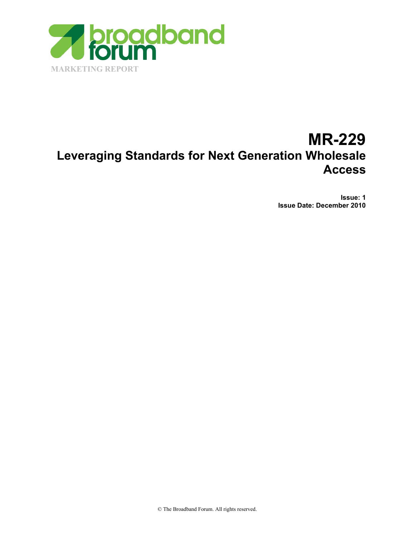

# **MR-229 Leveraging Standards for Next Generation Wholesale Access**

**Issue: 1 Issue Date: December 2010**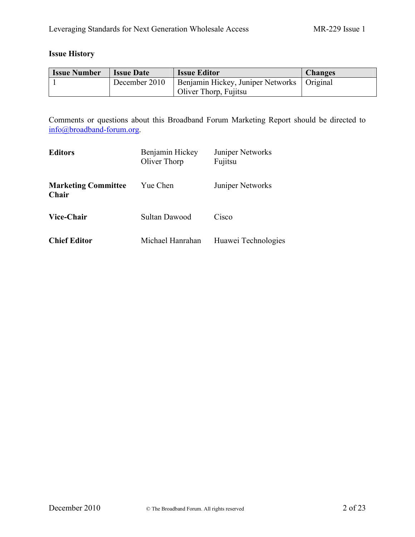# **Issue History**

| <b>Issue Number</b> | <b>Issue Date</b> | <b>Issue Editor</b>                          | <b>Changes</b> |
|---------------------|-------------------|----------------------------------------------|----------------|
|                     | December 2010     | Benjamin Hickey, Juniper Networks   Original |                |
|                     |                   | Oliver Thorp, Fujitsu                        |                |

Comments or questions about this Broadband Forum Marketing Report should be directed to [info@broadband-forum.org](mailto:info@broadband-forum.org).

| <b>Editors</b>                             | Benjamin Hickey<br>Oliver Thorp | Juniper Networks<br>Fujitsu |
|--------------------------------------------|---------------------------------|-----------------------------|
| <b>Marketing Committee</b><br><b>Chair</b> | Yue Chen                        | <b>Juniper Networks</b>     |
| Vice-Chair                                 | Sultan Dawood                   | Cisco                       |
| <b>Chief Editor</b>                        | Michael Hanrahan                | Huawei Technologies         |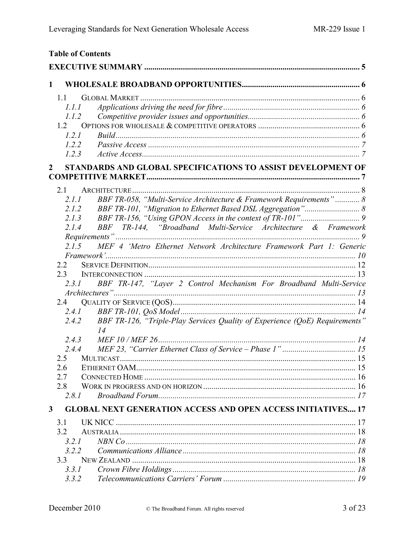|              |            | <b>Table of Contents</b>                                                    |  |
|--------------|------------|-----------------------------------------------------------------------------|--|
|              |            |                                                                             |  |
| 1            |            |                                                                             |  |
|              | 1.1        |                                                                             |  |
|              | 1.1.1      |                                                                             |  |
|              | 1.1.2      |                                                                             |  |
|              | 1.2        |                                                                             |  |
|              | 1.2.1      |                                                                             |  |
|              | 1.2.2      |                                                                             |  |
|              | 1.2.3      |                                                                             |  |
| 2            |            | STANDARDS AND GLOBAL SPECIFICATIONS TO ASSIST DEVELOPMENT OF                |  |
|              | 21         |                                                                             |  |
|              | 2.1.1      | BBF TR-058, "Multi-Service Architecture & Framework Requirements" 8         |  |
|              | 2.1.2      |                                                                             |  |
|              | 2.1.3      |                                                                             |  |
|              | 2.1.4      | BBF TR-144, "Broadband Multi-Service Architecture & Framework               |  |
|              |            |                                                                             |  |
|              | 2.1.5      | MEF 4 'Metro Ethernet Network Architecture Framework Part 1: Generic        |  |
|              |            |                                                                             |  |
|              | 2.2        |                                                                             |  |
|              | 23         |                                                                             |  |
|              | 2.3.1      | BBF TR-147, "Layer 2 Control Mechanism For Broadband Multi-Service          |  |
|              | 2.4        |                                                                             |  |
|              | 2.4.1      |                                                                             |  |
|              | 2.4.2      | BBF TR-126, "Triple-Play Services Quality of Experience (QoE) Requirements" |  |
|              |            | 14                                                                          |  |
|              | 2.4.3      |                                                                             |  |
|              | 2.4.4      | MEF 23, "Carrier Ethernet Class of Service – Phase 1"                       |  |
|              | 2.5<br>2.6 |                                                                             |  |
|              | 2.7        |                                                                             |  |
|              | 2.8        |                                                                             |  |
|              | 2.8.1      |                                                                             |  |
| $\mathbf{3}$ |            | <b>GLOBAL NEXT GENERATION ACCESS AND OPEN ACCESS INITIATIVES 17</b>         |  |
|              | 3.1        |                                                                             |  |
|              | 3.2        |                                                                             |  |
|              | 3.2.1      |                                                                             |  |
|              | 3.2.2      |                                                                             |  |
|              | 3.3        |                                                                             |  |
|              | 3.3.1      |                                                                             |  |
|              | 3.3.2      |                                                                             |  |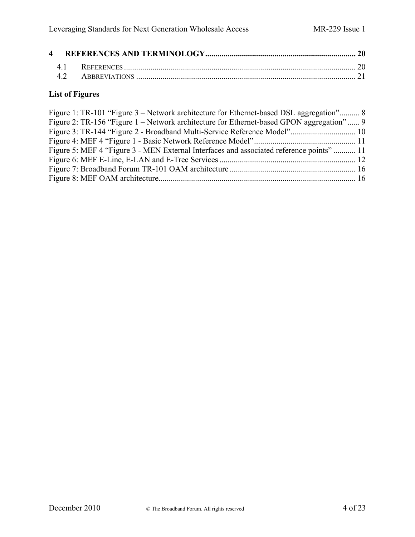# **List of Figures**

| Figure 1: TR-101 "Figure 3 – Network architecture for Ethernet-based DSL aggregation" 8<br>Figure 2: TR-156 "Figure 1 – Network architecture for Ethernet-based GPON aggregation"  9 |  |
|--------------------------------------------------------------------------------------------------------------------------------------------------------------------------------------|--|
|                                                                                                                                                                                      |  |
|                                                                                                                                                                                      |  |
| Figure 5: MEF 4 "Figure 3 - MEN External Interfaces and associated reference points"  11                                                                                             |  |
|                                                                                                                                                                                      |  |
|                                                                                                                                                                                      |  |
|                                                                                                                                                                                      |  |
|                                                                                                                                                                                      |  |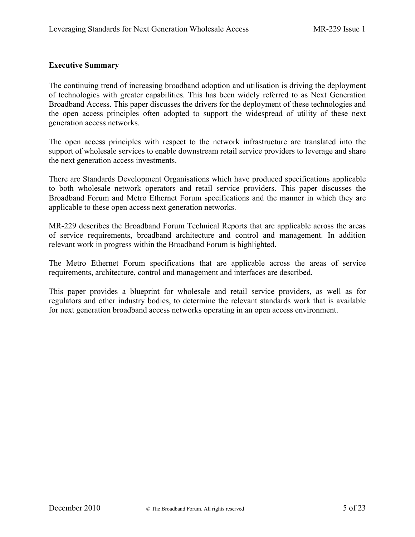#### <span id="page-4-0"></span>**Executive Summary**

The continuing trend of increasing broadband adoption and utilisation is driving the deployment of technologies with greater capabilities. This has been widely referred to as Next Generation Broadband Access. This paper discusses the drivers for the deployment of these technologies and the open access principles often adopted to support the widespread of utility of these next generation access networks.

The open access principles with respect to the network infrastructure are translated into the support of wholesale services to enable downstream retail service providers to leverage and share the next generation access investments.

There are Standards Development Organisations which have produced specifications applicable to both wholesale network operators and retail service providers. This paper discusses the Broadband Forum and Metro Ethernet Forum specifications and the manner in which they are applicable to these open access next generation networks.

MR-229 describes the Broadband Forum Technical Reports that are applicable across the areas of service requirements, broadband architecture and control and management. In addition relevant work in progress within the Broadband Forum is highlighted.

The Metro Ethernet Forum specifications that are applicable across the areas of service requirements, architecture, control and management and interfaces are described.

This paper provides a blueprint for wholesale and retail service providers, as well as for regulators and other industry bodies, to determine the relevant standards work that is available for next generation broadband access networks operating in an open access environment.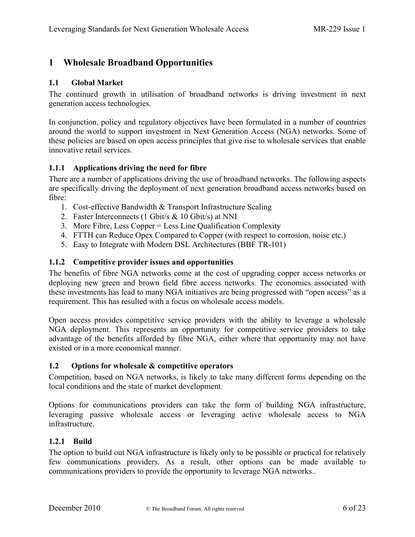# <span id="page-5-1"></span><span id="page-5-0"></span>**1 Wholesale Broadband Opportunities**

#### **1.1 Global Market**

The continued growth in utilisation of broadband networks is driving investment in next generation access technologies.

<span id="page-5-2"></span>In conjunction, policy and regulatory objectives have been formulated in a number of countries around the world to support investment in Next Generation Access (NGA) networks. Some of these policies are based on open access principles that give rise to wholesale services that enable innovative retail services.

#### **1.1.1 Applications driving the need for fibre**

There are a number of applications driving the use of broadband networks. The following aspects are specifically driving the deployment of next generation broadband access networks based on fibre:

- 1. Cost-effective Bandwidth & Transport Infrastructure Scaling
- 2. Faster Interconnects (1 Gbit/s & 10 Gbit/s) at NNI
- 3. More Fibre, Less Copper = Less Line Qualification Complexity
- 4. FTTH can Reduce Opex Compared to Copper (with respect to corrosion, noise etc.)
- 5. Easy to Integrate with Modern DSL Architectures (BBF TR-101)

#### <span id="page-5-3"></span>**1.1.2 Competitive provider issues and opportunities**

The benefits of fibre NGA networks come at the cost of upgrading copper access networks or deploying new green and brown field fibre access networks. The economics associated with these investments has lead to many NGA initiatives are being progressed with "open access" as a requirement. This has resulted with a focus on wholesale access models.

<span id="page-5-4"></span>Open access provides competitive service providers with the ability to leverage a wholesale NGA deployment. This represents an opportunity for competitive service providers to take advantage of the benefits afforded by fibre NGA, either where that opportunity may not have existed or in a more economical manner.

#### **1.2 Options for wholesale & competitive operators**

Competition, based on NGA networks, is likely to take many different forms depending on the local conditions and the state of market development.

<span id="page-5-5"></span>Options for communications providers can take the form of building NGA infrastructure, leveraging passive wholesale access or leveraging active wholesale access to NGA infrastructure.

#### **1.2.1 Build**

The option to build out NGA infrastructure is likely only to be possible or practical for relatively few communications providers. As a result, other options can be made available to communications providers to provide the opportunity to leverage NGA networks..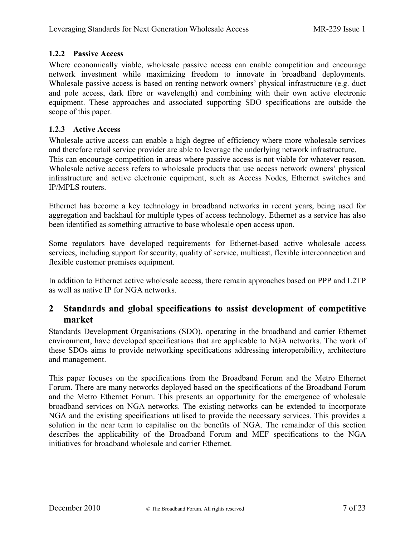# <span id="page-6-0"></span>**1.2.2 Passive Access**

Where economically viable, wholesale passive access can enable competition and encourage network investment while maximizing freedom to innovate in broadband deployments. Wholesale passive access is based on renting network owners' physical infrastructure (e.g. duct and pole access, dark fibre or wavelength) and combining with their own active electronic equipment. These approaches and associated supporting SDO specifications are outside the scope of this paper.

#### <span id="page-6-1"></span>**1.2.3 Active Access**

Wholesale active access can enable a high degree of efficiency where more wholesale services and therefore retail service provider are able to leverage the underlying network infrastructure. This can encourage competition in areas where passive access is not viable for whatever reason. Wholesale active access refers to wholesale products that use access network owners' physical infrastructure and active electronic equipment, such as Access Nodes, Ethernet switches and IP/MPLS routers.

Ethernet has become a key technology in broadband networks in recent years, being used for aggregation and backhaul for multiple types of access technology. Ethernet as a service has also been identified as something attractive to base wholesale open access upon.

Some regulators have developed requirements for Ethernet-based active wholesale access services, including support for security, quality of service, multicast, flexible interconnection and flexible customer premises equipment.

<span id="page-6-2"></span>In addition to Ethernet active wholesale access, there remain approaches based on PPP and L2TP as well as native IP for NGA networks.

# **2 Standards and global specifications to assist development of competitive market**

Standards Development Organisations (SDO), operating in the broadband and carrier Ethernet environment, have developed specifications that are applicable to NGA networks. The work of these SDOs aims to provide networking specifications addressing interoperability, architecture and management.

This paper focuses on the specifications from the Broadband Forum and the Metro Ethernet Forum. There are many networks deployed based on the specifications of the Broadband Forum and the Metro Ethernet Forum. This presents an opportunity for the emergence of wholesale broadband services on NGA networks. The existing networks can be extended to incorporate NGA and the existing specifications utilised to provide the necessary services. This provides a solution in the near term to capitalise on the benefits of NGA. The remainder of this section describes the applicability of the Broadband Forum and MEF specifications to the NGA initiatives for broadband wholesale and carrier Ethernet.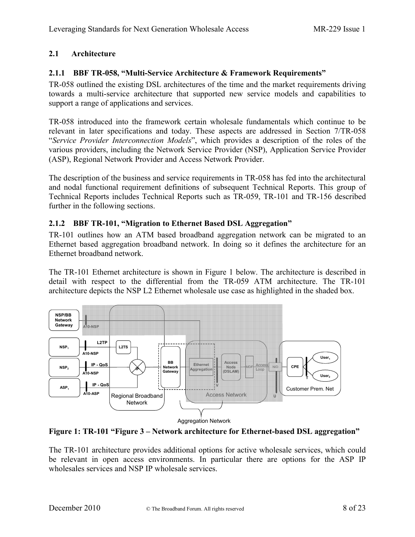# <span id="page-7-1"></span><span id="page-7-0"></span>**2.1 Architecture**

### **2.1.1 BBF TR-058, "Multi-Service Architecture & Framework Requirements"**

TR-058 outlined the existing DSL architectures of the time and the market requirements driving towards a multi-service architecture that supported new service models and capabilities to support a range of applications and services.

TR-058 introduced into the framework certain wholesale fundamentals which continue to be relevant in later specifications and today. These aspects are addressed in Section 7/TR-058 "*Service Provider Interconnection Models*", which provides a description of the roles of the various providers, including the Network Service Provider (NSP), Application Service Provider (ASP), Regional Network Provider and Access Network Provider.

<span id="page-7-2"></span>The description of the business and service requirements in TR-058 has fed into the architectural and nodal functional requirement definitions of subsequent Technical Reports. This group of Technical Reports includes Technical Reports such as TR-059, TR-101 and TR-156 described further in the following sections.

#### **2.1.2 BBF TR-101, "Migration to Ethernet Based DSL Aggregation"**

TR-101 outlines how an ATM based broadband aggregation network can be migrated to an Ethernet based aggregation broadband network. In doing so it defines the architecture for an Ethernet broadband network.

The TR-101 Ethernet architecture is shown in [Figure 1](#page-7-3) below. The architecture is described in detail with respect to the differential from the TR-059 ATM architecture. The TR-101 architecture depicts the NSP L2 Ethernet wholesale use case as highlighted in the shaded box.

<span id="page-7-3"></span>

**Figure 1: TR-101 "Figure 3 – Network architecture for Ethernet-based DSL aggregation"**

The TR-101 architecture provides additional options for active wholesale services, which could be relevant in open access environments. In particular there are options for the ASP IP wholesales services and NSP IP wholesale services.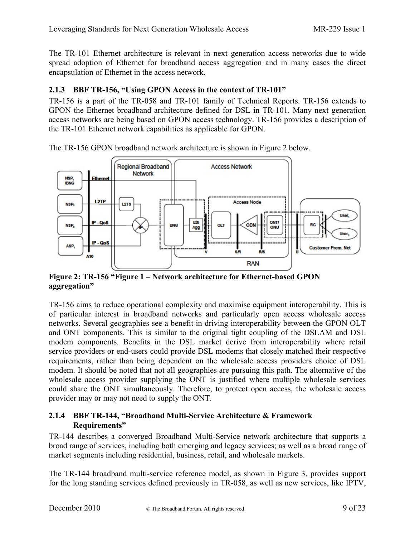<span id="page-8-0"></span>The TR-101 Ethernet architecture is relevant in next generation access networks due to wide spread adoption of Ethernet for broadband access aggregation and in many cases the direct encapsulation of Ethernet in the access network.

# **2.1.3 BBF TR-156, "Using GPON Access in the context of TR-101"**

TR-156 is a part of the TR-058 and TR-101 family of Technical Reports. TR-156 extends to GPON the Ethernet broadband architecture defined for DSL in TR-101. Many next generation access networks are being based on GPON access technology. TR-156 provides a description of the TR-101 Ethernet network capabilities as applicable for GPON.



The TR-156 GPON broadband network architecture is shown in [Figure 2](#page-8-2) below.

<span id="page-8-2"></span>**Figure 2: TR-156 "Figure 1 – Network architecture for Ethernet-based GPON aggregation"**

TR-156 aims to reduce operational complexity and maximise equipment interoperability. This is of particular interest in broadband networks and particularly open access wholesale access networks. Several geographies see a benefit in driving interoperability between the GPON OLT and ONT components. This is similar to the original tight coupling of the DSLAM and DSL modem components. Benefits in the DSL market derive from interoperability where retail service providers or end-users could provide DSL modems that closely matched their respective requirements, rather than being dependent on the wholesale access providers choice of DSL modem. It should be noted that not all geographies are pursuing this path. The alternative of the wholesale access provider supplying the ONT is justified where multiple wholesale services could share the ONT simultaneously. Therefore, to protect open access, the wholesale access provider may or may not need to supply the ONT.

#### <span id="page-8-1"></span>**2.1.4 BBF TR-144, "Broadband Multi-Service Architecture & Framework Requirements"**

TR-144 describes a converged Broadband Multi-Service network architecture that supports a broad range of services, including both emerging and legacy services; as well as a broad range of market segments including residential, business, retail, and wholesale markets.

The TR-144 broadband multi-service reference model, as shown in [Figure 3,](#page-9-1) provides support for the long standing services defined previously in TR-058, as well as new services, like IPTV,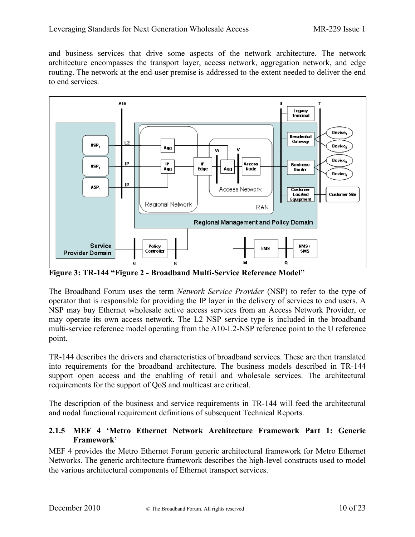and business services that drive some aspects of the network architecture. The network architecture encompasses the transport layer, access network, aggregation network, and edge routing. The network at the end-user premise is addressed to the extent needed to deliver the end to end services.



<span id="page-9-1"></span>**Figure 3: TR-144 "Figure 2 - Broadband Multi-Service Reference Model"**

The Broadband Forum uses the term *Network Service Provider* (NSP) to refer to the type of operator that is responsible for providing the IP layer in the delivery of services to end users. A NSP may buy Ethernet wholesale active access services from an Access Network Provider, or may operate its own access network. The L2 NSP service type is included in the broadband multi-service reference model operating from the A10-L2-NSP reference point to the U reference point.

TR-144 describes the drivers and characteristics of broadband services. These are then translated into requirements for the broadband architecture. The business models described in TR-144 support open access and the enabling of retail and wholesale services. The architectural requirements for the support of QoS and multicast are critical.

<span id="page-9-0"></span>The description of the business and service requirements in TR-144 will feed the architectural and nodal functional requirement definitions of subsequent Technical Reports.

#### **2.1.5 MEF 4 'Metro Ethernet Network Architecture Framework Part 1: Generic Framework'**

MEF 4 provides the Metro Ethernet Forum generic architectural framework for Metro Ethernet Networks. The generic architecture framework describes the high-level constructs used to model the various architectural components of Ethernet transport services.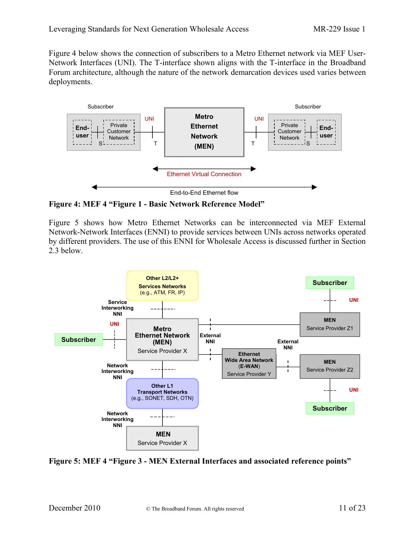Figure 4 below shows the connection of subscribers to a Metro Ethernet network via MEF User-Network Interfaces (UNI). The T-interface shown aligns with the T-interface in the Broadband Forum architecture, although the nature of the network demarcation devices used varies between deployments.



<span id="page-10-0"></span>**Figure 4: MEF 4 "Figure 1 - Basic Network Reference Model"**

Figure 5 shows how Metro Ethernet Networks can be interconnected via MEF External Network-Network Interfaces (ENNI) to provide services between UNIs across networks operated by different providers. The use of this ENNI for Wholesale Access is discussed further in Section 2.3 below.



**Figure 5: MEF 4 "Figure 3 - MEN External Interfaces and associated reference points"**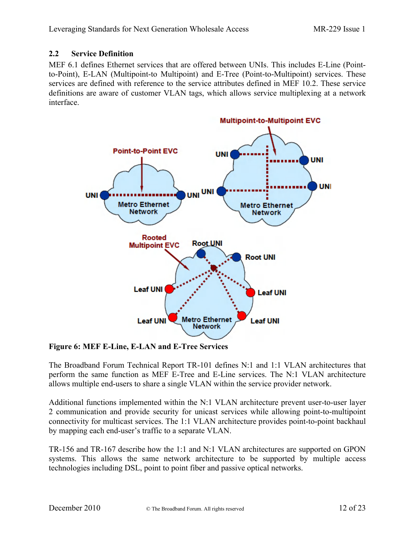#### <span id="page-11-0"></span>**2.2 Service Definition**

MEF 6.1 defines Ethernet services that are offered between UNIs. This includes E-Line (Pointto-Point), E-LAN (Multipoint-to Multipoint) and E-Tree (Point-to-Multipoint) services. These services are defined with reference to the service attributes defined in MEF 10.2. These service definitions are aware of customer VLAN tags, which allows service multiplexing at a network interface.



<span id="page-11-1"></span>**Figure 6: MEF E-Line, E-LAN and E-Tree Services**

The Broadband Forum Technical Report TR-101 defines N:1 and 1:1 VLAN architectures that perform the same function as MEF E-Tree and E-Line services. The N:1 VLAN architecture allows multiple end-users to share a single VLAN within the service provider network.

Additional functions implemented within the N:1 VLAN architecture prevent user-to-user layer 2 communication and provide security for unicast services while allowing point-to-multipoint connectivity for multicast services. The 1:1 VLAN architecture provides point-to-point backhaul by mapping each end-user's traffic to a separate VLAN.

TR-156 and TR-167 describe how the 1:1 and N:1 VLAN architectures are supported on GPON systems. This allows the same network architecture to be supported by multiple access technologies including DSL, point to point fiber and passive optical networks.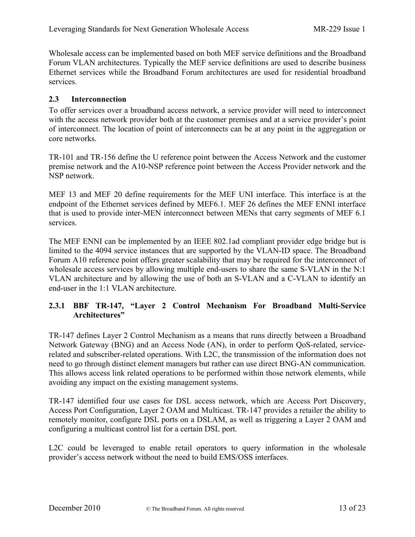<span id="page-12-0"></span>Wholesale access can be implemented based on both MEF service definitions and the Broadband Forum VLAN architectures. Typically the MEF service definitions are used to describe business Ethernet services while the Broadband Forum architectures are used for residential broadband services.

# **2.3 Interconnection**

To offer services over a broadband access network, a service provider will need to interconnect with the access network provider both at the customer premises and at a service provider's point of interconnect. The location of point of interconnects can be at any point in the aggregation or core networks.

TR-101 and TR-156 define the U reference point between the Access Network and the customer premise network and the A10-NSP reference point between the Access Provider network and the NSP network.

MEF 13 and MEF 20 define requirements for the MEF UNI interface. This interface is at the endpoint of the Ethernet services defined by MEF6.1. MEF 26 defines the MEF ENNI interface that is used to provide inter-MEN interconnect between MENs that carry segments of MEF 6.1 services.

The MEF ENNI can be implemented by an IEEE 802.1ad compliant provider edge bridge but is limited to the 4094 service instances that are supported by the VLAN-ID space. The Broadband Forum A10 reference point offers greater scalability that may be required for the interconnect of wholesale access services by allowing multiple end-users to share the same S-VLAN in the N:1 VLAN architecture and by allowing the use of both an S-VLAN and a C-VLAN to identify an end-user in the 1:1 VLAN architecture.

# <span id="page-12-1"></span>**2.3.1 BBF TR-147, "Layer 2 Control Mechanism For Broadband Multi-Service Architectures"**

TR-147 defines Layer 2 Control Mechanism as a means that runs directly between a Broadband Network Gateway (BNG) and an Access Node (AN), in order to perform QoS-related, servicerelated and subscriber-related operations. With L2C, the transmission of the information does not need to go through distinct element managers but rather can use direct BNG-AN communication. This allows access link related operations to be performed within those network elements, while avoiding any impact on the existing management systems.

TR-147 identified four use cases for DSL access network, which are Access Port Discovery, Access Port Configuration, Layer 2 OAM and Multicast. TR-147 provides a retailer the ability to remotely monitor, configure DSL ports on a DSLAM, as well as triggering a Layer 2 OAM and configuring a multicast control list for a certain DSL port.

L2C could be leveraged to enable retail operators to query information in the wholesale provider's access network without the need to build EMS/OSS interfaces.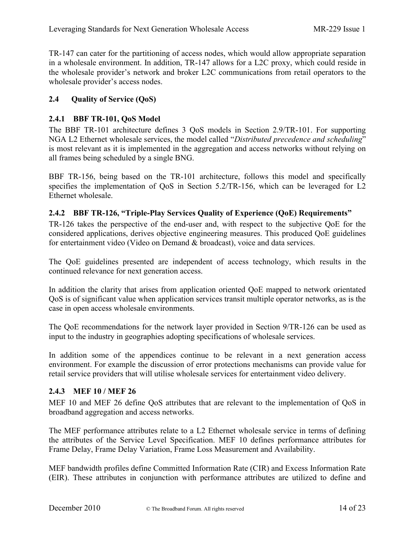<span id="page-13-0"></span>TR-147 can cater for the partitioning of access nodes, which would allow appropriate separation in a wholesale environment. In addition, TR-147 allows for a L2C proxy, which could reside in the wholesale provider's network and broker L2C communications from retail operators to the wholesale provider's access nodes.

# <span id="page-13-1"></span>**2.4 Quality of Service (QoS)**

#### **2.4.1 BBF TR-101, QoS Model**

The BBF TR-101 architecture defines 3 QoS models in Section 2.9/TR-101. For supporting NGA L2 Ethernet wholesale services, the model called "*Distributed precedence and scheduling*" is most relevant as it is implemented in the aggregation and access networks without relying on all frames being scheduled by a single BNG.

<span id="page-13-2"></span>BBF TR-156, being based on the TR-101 architecture, follows this model and specifically specifies the implementation of QoS in Section 5.2/TR-156, which can be leveraged for L2 Ethernet wholesale.

#### **2.4.2 BBF TR-126, "Triple-Play Services Quality of Experience (QoE) Requirements"**

TR-126 takes the perspective of the end-user and, with respect to the subjective QoE for the considered applications, derives objective engineering measures. This produced QoE guidelines for entertainment video (Video on Demand & broadcast), voice and data services.

The QoE guidelines presented are independent of access technology, which results in the continued relevance for next generation access.

In addition the clarity that arises from application oriented QoE mapped to network orientated QoS is of significant value when application services transit multiple operator networks, as is the case in open access wholesale environments.

The QoE recommendations for the network layer provided in Section 9/TR-126 can be used as input to the industry in geographies adopting specifications of wholesale services.

<span id="page-13-3"></span>In addition some of the appendices continue to be relevant in a next generation access environment. For example the discussion of error protections mechanisms can provide value for retail service providers that will utilise wholesale services for entertainment video delivery.

#### **2.4.3 MEF 10 / MEF 26**

MEF 10 and MEF 26 define QoS attributes that are relevant to the implementation of QoS in broadband aggregation and access networks.

The MEF performance attributes relate to a L2 Ethernet wholesale service in terms of defining the attributes of the Service Level Specification. MEF 10 defines performance attributes for Frame Delay, Frame Delay Variation, Frame Loss Measurement and Availability.

MEF bandwidth profiles define Committed Information Rate (CIR) and Excess Information Rate (EIR). These attributes in conjunction with performance attributes are utilized to define and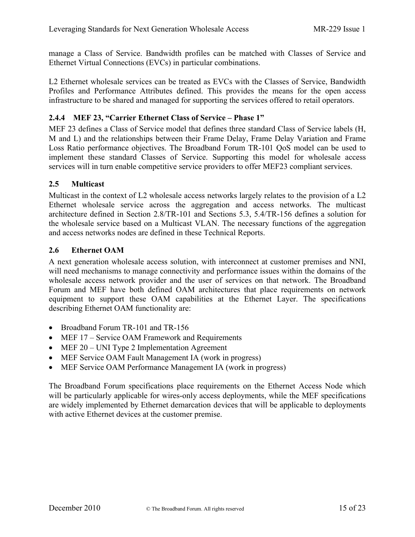manage a Class of Service. Bandwidth profiles can be matched with Classes of Service and Ethernet Virtual Connections (EVCs) in particular combinations.

<span id="page-14-0"></span>L2 Ethernet wholesale services can be treated as EVCs with the Classes of Service, Bandwidth Profiles and Performance Attributes defined. This provides the means for the open access infrastructure to be shared and managed for supporting the services offered to retail operators.

#### **2.4.4 MEF 23, "Carrier Ethernet Class of Service – Phase 1"**

MEF 23 defines a Class of Service model that defines three standard Class of Service labels (H, M and L) and the relationships between their Frame Delay, Frame Delay Variation and Frame Loss Ratio performance objectives. The Broadband Forum TR-101 QoS model can be used to implement these standard Classes of Service. Supporting this model for wholesale access services will in turn enable competitive service providers to offer MEF23 compliant services.

#### <span id="page-14-1"></span>**2.5 Multicast**

Multicast in the context of L2 wholesale access networks largely relates to the provision of a L2 Ethernet wholesale service across the aggregation and access networks. The multicast architecture defined in Section 2.8/TR-101 and Sections 5.3, 5.4/TR-156 defines a solution for the wholesale service based on a Multicast VLAN. The necessary functions of the aggregation and access networks nodes are defined in these Technical Reports.

#### <span id="page-14-2"></span>**2.6 Ethernet OAM**

A next generation wholesale access solution, with interconnect at customer premises and NNI, will need mechanisms to manage connectivity and performance issues within the domains of the wholesale access network provider and the user of services on that network. The Broadband Forum and MEF have both defined OAM architectures that place requirements on network equipment to support these OAM capabilities at the Ethernet Layer. The specifications describing Ethernet OAM functionality are:

- Broadband Forum TR-101 and TR-156
- MEF 17 Service OAM Framework and Requirements
- MEF 20 UNI Type 2 Implementation Agreement
- MEF Service OAM Fault Management IA (work in progress)
- MEF Service OAM Performance Management IA (work in progress)

The Broadband Forum specifications place requirements on the Ethernet Access Node which will be particularly applicable for wires-only access deployments, while the MEF specifications are widely implemented by Ethernet demarcation devices that will be applicable to deployments with active Ethernet devices at the customer premise.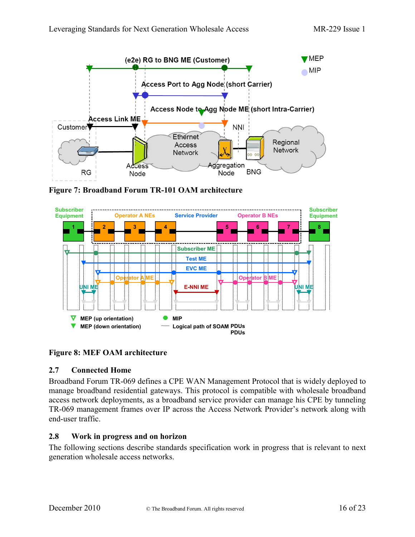

<span id="page-15-2"></span>**Figure 7: Broadband Forum TR-101 OAM architecture**



#### <span id="page-15-3"></span><span id="page-15-0"></span>**Figure 8: MEF OAM architecture**

#### **2.7 Connected Home**

Broadband Forum TR-069 defines a CPE WAN Management Protocol that is widely deployed to manage broadband residential gateways. This protocol is compatible with wholesale broadband access network deployments, as a broadband service provider can manage his CPE by tunneling TR-069 management frames over IP across the Access Network Provider's network along with end-user traffic.

#### <span id="page-15-1"></span>**2.8 Work in progress and on horizon**

The following sections describe standards specification work in progress that is relevant to next generation wholesale access networks.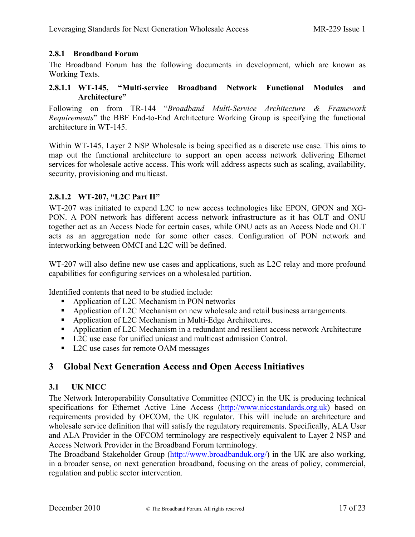#### <span id="page-16-0"></span>**2.8.1 Broadband Forum**

The Broadband Forum has the following documents in development, which are known as Working Texts.

#### **2.8.1.1 WT-145, "Multi-service Broadband Network Functional Modules and Architecture"**

Following on from TR-144 "*Broadband Multi-Service Architecture & Framework Requirements*" the BBF End-to-End Architecture Working Group is specifying the functional architecture in WT-145.

Within WT-145, Layer 2 NSP Wholesale is being specified as a discrete use case. This aims to map out the functional architecture to support an open access network delivering Ethernet services for wholesale active access. This work will address aspects such as scaling, availability, security, provisioning and multicast.

#### **2.8.1.2 WT-207, "L2C Part II"**

WT-207 was initiated to expend L2C to new access technologies like EPON, GPON and XG-PON. A PON network has different access network infrastructure as it has OLT and ONU together act as an Access Node for certain cases, while ONU acts as an Access Node and OLT acts as an aggregation node for some other cases. Configuration of PON network and interworking between OMCI and L2C will be defined.

WT-207 will also define new use cases and applications, such as L2C relay and more profound capabilities for configuring services on a wholesaled partition.

Identified contents that need to be studied include:

- Application of L2C Mechanism in PON networks
- Application of L2C Mechanism on new wholesale and retail business arrangements.
- Application of L2C Mechanism in Multi-Edge Architectures.
- Application of L2C Mechanism in a redundant and resilient access network Architecture
- L2C use case for unified unicast and multicast admission Control.
- L2C use cases for remote OAM messages

# <span id="page-16-2"></span><span id="page-16-1"></span>**3 Global Next Generation Access and Open Access Initiatives**

#### **3.1 UK NICC**

The Network Interoperability Consultative Committee (NICC) in the UK is producing technical specifications for Ethernet Active Line Access ([http://www.niccstandards.org.uk\)](http://www.niccstandards.org.uk/) based on requirements provided by OFCOM, the UK regulator. This will include an architecture and wholesale service definition that will satisfy the regulatory requirements. Specifically, ALA User and ALA Provider in the OFCOM terminology are respectively equivalent to Layer 2 NSP and Access Network Provider in the Broadband Forum terminology.

The Broadband Stakeholder Group [\(http://www.broadbanduk.org/\)](http://www.broadbanduk.org/) in the UK are also working, in a broader sense, on next generation broadband, focusing on the areas of policy, commercial, regulation and public sector intervention.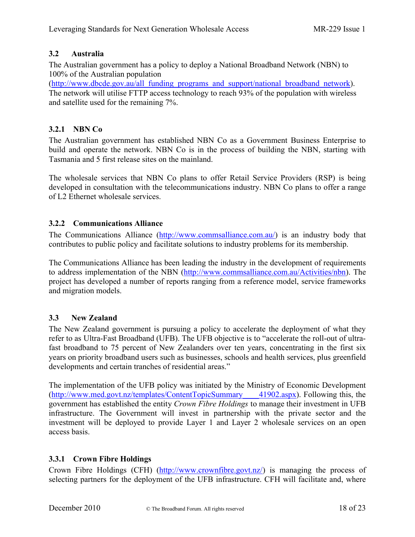# <span id="page-17-0"></span>**3.2 Australia**

The Australian government has a policy to deploy a National Broadband Network (NBN) to 100% of the Australian population

<span id="page-17-1"></span>([http://www.dbcde.gov.au/all\\_funding\\_programs\\_and\\_support/national\\_broadband\\_network\)](http://www.dbcde.gov.au/all_funding_programs_and_support/national_broadband_network). The network will utilise FTTP access technology to reach 93% of the population with wireless and satellite used for the remaining 7%.

# **3.2.1 NBN Co**

The Australian government has established NBN Co as a Government Business Enterprise to build and operate the network. NBN Co is in the process of building the NBN, starting with Tasmania and 5 first release sites on the mainland.

<span id="page-17-2"></span>The wholesale services that NBN Co plans to offer Retail Service Providers (RSP) is being developed in consultation with the telecommunications industry. NBN Co plans to offer a range of L2 Ethernet wholesale services.

# **3.2.2 Communications Alliance**

The Communications Alliance ([http://www.commsalliance.com.au/\)](http://www.commsalliance.com.au/Activities/nbn) is an industry body that contributes to public policy and facilitate solutions to industry problems for its membership.

The Communications Alliance has been leading the industry in the development of requirements to address implementation of the NBN [\(http://www.commsalliance.com.au/Activities/nbn](http://www.commsalliance.com.au/Activities/nbn)). The project has developed a number of reports ranging from a reference model, service frameworks and migration models.

# <span id="page-17-3"></span>**3.3 New Zealand**

The New Zealand government is pursuing a policy to accelerate the deployment of what they refer to as Ultra-Fast Broadband (UFB). The UFB objective is to "accelerate the roll-out of ultrafast broadband to 75 percent of New Zealanders over ten years, concentrating in the first six years on priority broadband users such as businesses, schools and health services, plus greenfield developments and certain tranches of residential areas."

The implementation of the UFB policy was initiated by the Ministry of Economic Development ([http://www.med.govt.nz/templates/ContentTopicSummary\\_\\_\\_\\_41902.aspx](http://www.med.govt.nz/templates/ContentTopicSummary____41902.aspx)). Following this, the government has established the entity *Crown Fibre Holdings* to manage their investment in UFB infrastructure. The Government will invest in partnership with the private sector and the investment will be deployed to provide Layer 1 and Layer 2 wholesale services on an open access basis.

# <span id="page-17-4"></span>**3.3.1 Crown Fibre Holdings**

Crown Fibre Holdings (CFH) [\(http://www.crownfibre.govt.nz/](http://www.crownfibre.govt.nz/)) is managing the process of selecting partners for the deployment of the UFB infrastructure. CFH will facilitate and, where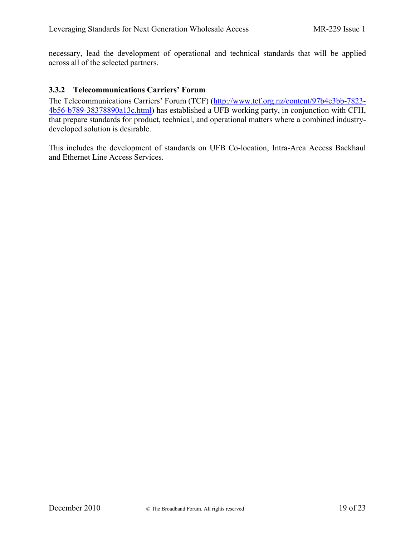<span id="page-18-0"></span>necessary, lead the development of operational and technical standards that will be applied across all of the selected partners.

#### **3.3.2 Telecommunications Carriers' Forum**

The Telecommunications Carriers' Forum (TCF) ([http://www.tcf.org.nz/content/97b4e3bb-7823-](http://www.tcf.org.nz/content/97b4e3bb-7823-4b56-b789-38378890a13c.html) [4b56-b789-38378890a13c.html\)](http://www.tcf.org.nz/content/97b4e3bb-7823-4b56-b789-38378890a13c.html) has established a UFB working party, in conjunction with CFH, that prepare standards for product, technical, and operational matters where a combined industrydeveloped solution is desirable.

This includes the development of standards on UFB Co-location, Intra-Area Access Backhaul and Ethernet Line Access Services.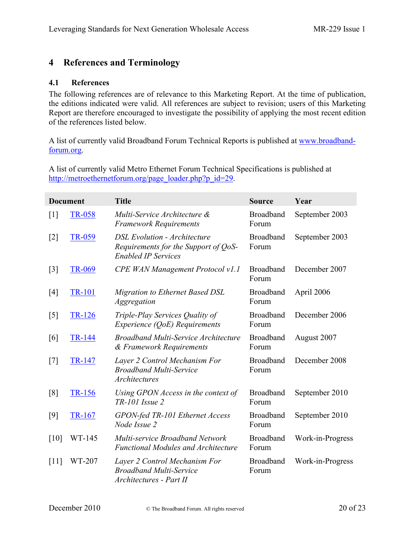# <span id="page-19-1"></span><span id="page-19-0"></span>**4 References and Terminology**

#### **4.1 References**

The following references are of relevance to this Marketing Report. At the time of publication, the editions indicated were valid. All references are subject to revision; users of this Marketing Report are therefore encouraged to investigate the possibility of applying the most recent edition of the references listed below.

A list of currently valid Broadband Forum Technical Reports is published at [www.broadband](http://www.broadband-forum.org/)[forum.org](http://www.broadband-forum.org/).

A list of currently valid Metro Ethernet Forum Technical Specifications is published at [http://metroethernetforum.org/page\\_loader.php?p\\_id=29](http://metroethernetforum.org/page_loader.php?p_id=29).

|                   | <b>Document</b> | <b>Title</b>                                                                                              | <b>Source</b>             | Year             |
|-------------------|-----------------|-----------------------------------------------------------------------------------------------------------|---------------------------|------------------|
| $[1]$             | TR-058          | Multi-Service Architecture &<br><b>Framework Requirements</b>                                             | <b>Broadband</b><br>Forum | September 2003   |
| $[2]$             | TR-059          | <b>DSL Evolution - Architecture</b><br>Requirements for the Support of QoS-<br><b>Enabled IP Services</b> | <b>Broadband</b><br>Forum | September 2003   |
| $\lceil 3 \rceil$ | TR-069          | <b>CPE WAN Management Protocol v1.1</b>                                                                   | <b>Broadband</b><br>Forum | December 2007    |
| $[4]$             | <b>TR-101</b>   | <b>Migration to Ethernet Based DSL</b><br>Aggregation                                                     | <b>Broadband</b><br>Forum | April 2006       |
| [5]               | <b>TR-126</b>   | Triple-Play Services Quality of<br>Experience (QoE) Requirements                                          | <b>Broadband</b><br>Forum | December 2006    |
| [6]               | <b>TR-144</b>   | <b>Broadband Multi-Service Architecture</b><br>& Framework Requirements                                   | <b>Broadband</b><br>Forum | August 2007      |
| $[7]$             | TR-147          | Layer 2 Control Mechanism For<br><b>Broadband Multi-Service</b><br>Architectures                          | <b>Broadband</b><br>Forum | December 2008    |
| [8]               | TR-156          | Using GPON Access in the context of<br>$TR$ -101 Issue 2                                                  | <b>Broadband</b><br>Forum | September 2010   |
| $[9]$             | TR-167          | GPON-fed TR-101 Ethernet Access<br>Node Issue 2                                                           | <b>Broadband</b><br>Forum | September 2010   |
| [10]              | WT-145          | Multi-service Broadband Network<br><b>Functional Modules and Architecture</b>                             | <b>Broadband</b><br>Forum | Work-in-Progress |
| [11]              | WT-207          | Layer 2 Control Mechanism For<br><b>Broadband Multi-Service</b><br>Architectures - Part II                | <b>Broadband</b><br>Forum | Work-in-Progress |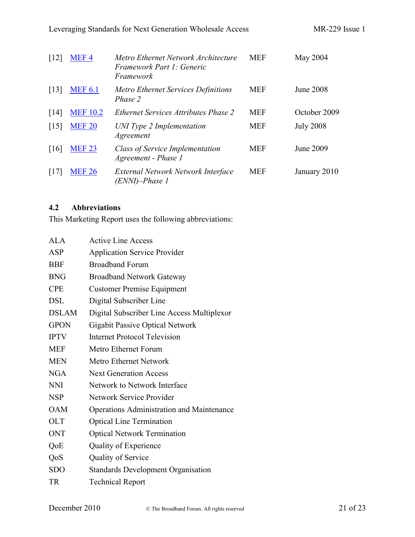| $\lceil 12 \rceil$ | MEF4            | Metro Ethernet Network Architecture<br>Framework Part 1: Generic<br>Framework | <b>MEF</b> | May 2004         |
|--------------------|-----------------|-------------------------------------------------------------------------------|------------|------------------|
| $\lceil 13 \rceil$ | <b>MEF 6.1</b>  | <b>Metro Ethernet Services Definitions</b><br>Phase 2                         | <b>MEF</b> | <b>June 2008</b> |
| $\lceil 14 \rceil$ | <b>MEF 10.2</b> | <i>Ethernet Services Attributes Phase 2</i>                                   | <b>MEF</b> | October 2009     |
| $\lceil 15 \rceil$ | <b>MEF 20</b>   | UNI Type 2 Implementation<br>Agreement                                        | <b>MEF</b> | <b>July 2008</b> |
| $\lceil 16 \rceil$ | <b>MEF 23</b>   | <b>Class of Service Implementation</b><br>Agreement - Phase 1                 | <b>MEF</b> | June 2009        |
| [17]               | <b>MEF 26</b>   | External Network Network Interface<br>(ENNI)–Phase 1                          | <b>MEF</b> | January 2010     |

# <span id="page-20-0"></span>**4.2 Abbreviations**

This Marketing Report uses the following abbreviations:

| ALA          | <b>Active Line Access</b>                        |
|--------------|--------------------------------------------------|
| ASP          | <b>Application Service Provider</b>              |
| <b>BBF</b>   | <b>Broadband Forum</b>                           |
| <b>BNG</b>   | <b>Broadband Network Gateway</b>                 |
| <b>CPE</b>   | <b>Customer Premise Equipment</b>                |
| <b>DSL</b>   | Digital Subscriber Line                          |
| <b>DSLAM</b> | Digital Subscriber Line Access Multiplexor       |
| <b>GPON</b>  | <b>Gigabit Passive Optical Network</b>           |
| <b>IPTV</b>  | <b>Internet Protocol Television</b>              |
| <b>MEF</b>   | Metro Ethernet Forum                             |
| <b>MEN</b>   | <b>Metro Ethernet Network</b>                    |
| <b>NGA</b>   | <b>Next Generation Access</b>                    |
| <b>NNI</b>   | Network to Network Interface                     |
| <b>NSP</b>   | Network Service Provider                         |
| <b>OAM</b>   | <b>Operations Administration and Maintenance</b> |
| <b>OLT</b>   | <b>Optical Line Termination</b>                  |
| <b>ONT</b>   | <b>Optical Network Termination</b>               |
| QoE          | Quality of Experience                            |
| QoS          | Quality of Service                               |
| <b>SDO</b>   | <b>Standards Development Organisation</b>        |
| <b>TR</b>    | <b>Technical Report</b>                          |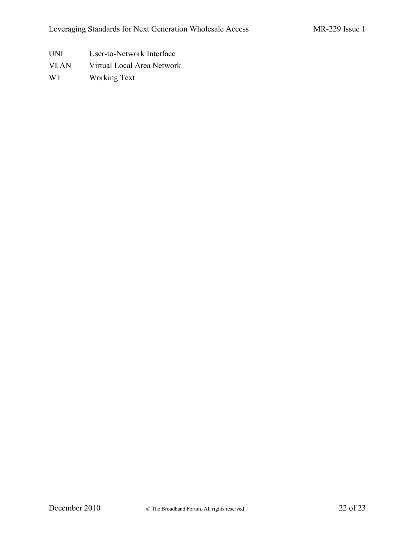- UNI User-to-Network Interface
- VLAN Virtual Local Area Network
- WT Working Text